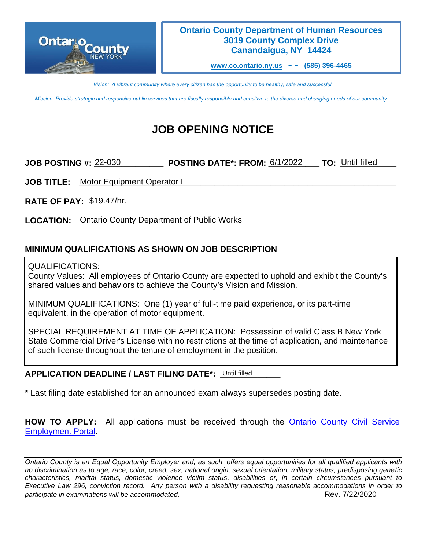

## **Ontario County Department of Human Resources 3019 County Complex Drive Canandaigua, NY 14424**

**[www.co.ontario.ny.us](http://www.co.ontario.ny.us/) ~ ~ (585) 396-4465**

*Vision: A vibrant community where every citizen has the opportunity to be healthy, safe and successful*

*Mission: Provide strategic and responsive public services that are fiscally responsible and sensitive to the diverse and changing needs of our community*

# **JOB OPENING NOTICE**

**JOB POSTING #: 22-030 \_\_\_\_\_\_\_\_\_\_\_\_ POSTING DATE\*: FROM: 6/1/2022 \_\_\_ TO: Until filled \_\_\_\_** 

**JOB TITLE:** Motor Equipment Operator I And The Communication of the Communication of the Communication of the Communication of the Communication of the Communication of the Communication of the Communication of the Commun

**RATE OF PAY: \_\_\_\_\_\_\_\_\_\_\_\_\_\_\_\_\_\_\_\_\_\_\_\_\_\_\_\_\_\_\_\_\_\_\_\_\_\_\_\_\_\_\_\_\_\_\_\_\_\_\_\_\_\_\_\_\_\_\_\_\_\_\_\_\_\_** \$19.47/hr.

**LOCATION: \_\_\_\_\_\_\_\_\_\_\_\_\_\_\_\_\_\_\_\_\_\_\_\_\_\_\_\_\_\_\_\_\_\_\_\_\_\_\_\_\_\_\_\_\_\_\_\_\_\_\_\_\_\_\_\_\_\_\_\_\_\_\_\_\_\_\_\_** Ontario County Department of Public Works

# **MINIMUM QUALIFICATIONS AS SHOWN ON JOB DESCRIPTION**

### QUALIFICATIONS:

County Values: All employees of Ontario County are expected to uphold and exhibit the County's shared values and behaviors to achieve the County's Vision and Mission.

MINIMUM QUALIFICATIONS: One (1) year of full-time paid experience, or its part-time equivalent, in the operation of motor equipment.

SPECIAL REQUIREMENT AT TIME OF APPLICATION: Possession of valid Class B New York State Commercial Driver's License with no restrictions at the time of application, and maintenance of such license throughout the tenure of employment in the position.

## APPLICATION DEADLINE / LAST FILING DATE\*: Until filled

\* Last filing date established for an announced exam always supersedes posting date.

**HOW TO APPLY:** All applications must be received through the Ontario [County Civil Service](https://ontario-portal.mycivilservice.com/)  [Employment Portal.](https://ontario-portal.mycivilservice.com/)

*Ontario County is an Equal Opportunity Employer and, as such, offers equal opportunities for all qualified applicants with no discrimination as to age, race, color, creed, sex, national origin, sexual orientation, military status, predisposing genetic characteristics, marital status, domestic violence victim status, disabilities or, in certain circumstances pursuant to Executive Law 296, conviction record. Any person with a disability requesting reasonable accommodations in order to participate in examinations will be accommodated.*  $\overline{\phantom{a}}$  Rev. 7/22/2020